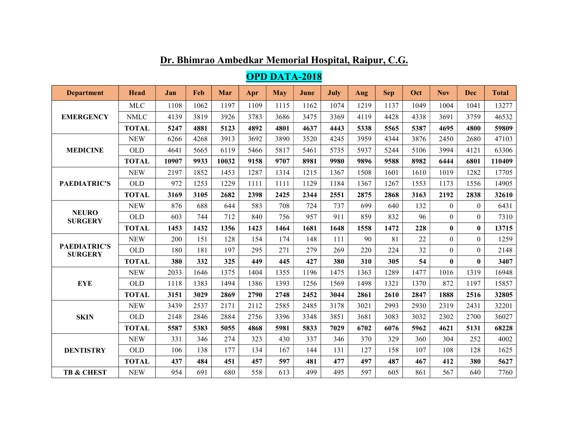| <b>Department</b>                     | Head         | Jan   | Feb  | Mar   | Apr  | May  | June | <b>July</b> | Aug  | <b>Sep</b> | Oct  | <b>Nov</b>       | <b>Dec</b>     | <b>Total</b> |
|---------------------------------------|--------------|-------|------|-------|------|------|------|-------------|------|------------|------|------------------|----------------|--------------|
|                                       | <b>MLC</b>   | 1108  | 1062 | 1197  | 1109 | 1115 | 1162 | 1074        | 1219 | 1137       | 1049 | 1004             | 1041           | 13277        |
| <b>EMERGENCY</b>                      | <b>NMLC</b>  | 4139  | 3819 | 3926  | 3783 | 3686 | 3475 | 3369        | 4119 | 4428       | 4338 | 3691             | 3759           | 46532        |
|                                       | <b>TOTAL</b> | 5247  | 4881 | 5123  | 4892 | 4801 | 4637 | 4443        | 5338 | 5565       | 5387 | 4695             | 4800           | 59809        |
| <b>MEDICINE</b>                       | <b>NEW</b>   | 6266  | 4268 | 3913  | 3692 | 3890 | 3520 | 4245        | 3959 | 4344       | 3876 | 2450             | 2680           | 47103        |
|                                       | <b>OLD</b>   | 4641  | 5665 | 6119  | 5466 | 5817 | 5461 | 5735        | 5937 | 5244       | 5106 | 3994             | 4121           | 63306        |
|                                       | <b>TOTAL</b> | 10907 | 9933 | 10032 | 9158 | 9707 | 8981 | 9980        | 9896 | 9588       | 8982 | 6444             | 6801           | 110409       |
|                                       | <b>NEW</b>   | 2197  | 1852 | 1453  | 1287 | 1314 | 1215 | 1367        | 1508 | 1601       | 1610 | 1019             | 1282           | 17705        |
| <b>PAEDIATRIC'S</b>                   | <b>OLD</b>   | 972   | 1253 | 1229  | 1111 | 1111 | 1129 | 1184        | 1367 | 1267       | 1553 | 1173             | 1556           | 14905        |
|                                       | <b>TOTAL</b> | 3169  | 3105 | 2682  | 2398 | 2425 | 2344 | 2551        | 2875 | 2868       | 3163 | 2192             | 2838           | 32610        |
|                                       | <b>NEW</b>   | 876   | 688  | 644   | 583  | 708  | 724  | 737         | 699  | 640        | 132  | $\boldsymbol{0}$ | $\Omega$       | 6431         |
| <b>NEURO</b><br><b>SURGERY</b>        | <b>OLD</b>   | 603   | 744  | 712   | 840  | 756  | 957  | 911         | 859  | 832        | 96   | $\overline{0}$   | $\overline{0}$ | 7310         |
|                                       | <b>TOTAL</b> | 1453  | 1432 | 1356  | 1423 | 1464 | 1681 | 1648        | 1558 | 1472       | 228  | $\bf{0}$         | $\bf{0}$       | 13715        |
|                                       | <b>NEW</b>   | 200   | 151  | 128   | 154  | 174  | 148  | 111         | 90   | 81         | 22   | $\boldsymbol{0}$ | $\Omega$       | 1259         |
| <b>PAEDIATRIC'S</b><br><b>SURGERY</b> | <b>OLD</b>   | 180   | 181  | 197   | 295  | 271  | 279  | 269         | 220  | 224        | 32   | $\boldsymbol{0}$ | $\theta$       | 2148         |
|                                       | <b>TOTAL</b> | 380   | 332  | 325   | 449  | 445  | 427  | 380         | 310  | 305        | 54   | $\bf{0}$         | $\mathbf{0}$   | 3407         |
|                                       | <b>NEW</b>   | 2033  | 1646 | 1375  | 1404 | 1355 | 1196 | 1475        | 1363 | 1289       | 1477 | 1016             | 1319           | 16948        |
| <b>EYE</b>                            | <b>OLD</b>   | 1118  | 1383 | 1494  | 1386 | 1393 | 1256 | 1569        | 1498 | 1321       | 1370 | 872              | 1197           | 15857        |
|                                       | <b>TOTAL</b> | 3151  | 3029 | 2869  | 2790 | 2748 | 2452 | 3044        | 2861 | 2610       | 2847 | 1888             | 2516           | 32805        |
|                                       | <b>NEW</b>   | 3439  | 2537 | 2171  | 2112 | 2585 | 2485 | 3178        | 3021 | 2993       | 2930 | 2319             | 2431           | 32201        |
| <b>SKIN</b>                           | <b>OLD</b>   | 2148  | 2846 | 2884  | 2756 | 3396 | 3348 | 3851        | 3681 | 3083       | 3032 | 2302             | 2700           | 36027        |
|                                       | <b>TOTAL</b> | 5587  | 5383 | 5055  | 4868 | 5981 | 5833 | 7029        | 6702 | 6076       | 5962 | 4621             | 5131           | 68228        |
|                                       | <b>NEW</b>   | 331   | 346  | 274   | 323  | 430  | 337  | 346         | 370  | 329        | 360  | 304              | 252            | 4002         |
| <b>DENTISTRY</b>                      | <b>OLD</b>   | 106   | 138  | 177   | 134  | 167  | 144  | 131         | 127  | 158        | 107  | 108              | 128            | 1625         |
|                                       | <b>TOTAL</b> | 437   | 484  | 451   | 457  | 597  | 481  | 477         | 497  | 487        | 467  | 412              | 380            | 5627         |
| <b>TB &amp; CHEST</b>                 | <b>NEW</b>   | 954   | 691  | 680   | 558  | 613  | 499  | 495         | 597  | 605        | 861  | 567              | 640            | 7760         |

## Dr. Bhimrao Ambedkar Memorial Hospital, Raipur, C.G.

OPD DATA-2018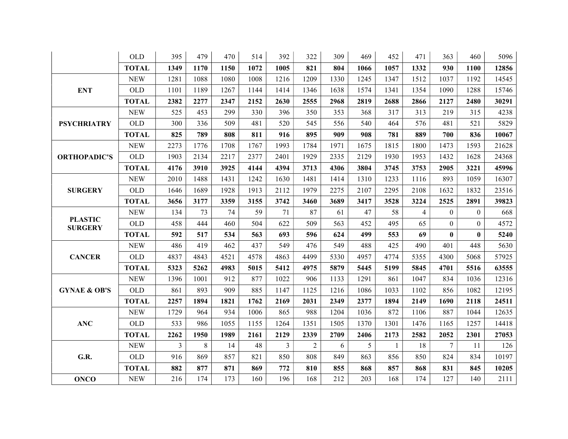|                                  | <b>OLD</b>   | 395            | 479  | 470  | 514  | 392            | 322            | 309  | 469  | 452  | 471            | 363          | 460          | 5096  |
|----------------------------------|--------------|----------------|------|------|------|----------------|----------------|------|------|------|----------------|--------------|--------------|-------|
|                                  | <b>TOTAL</b> | 1349           | 1170 | 1150 | 1072 | 1005           | 821            | 804  | 1066 | 1057 | 1332           | 930          | 1100         | 12856 |
|                                  | <b>NEW</b>   | 1281           | 1088 | 1080 | 1008 | 1216           | 1209           | 1330 | 1245 | 1347 | 1512           | 1037         | 1192         | 14545 |
| <b>ENT</b>                       | <b>OLD</b>   | 1101           | 1189 | 1267 | 1144 | 1414           | 1346           | 1638 | 1574 | 1341 | 1354           | 1090         | 1288         | 15746 |
|                                  | <b>TOTAL</b> | 2382           | 2277 | 2347 | 2152 | 2630           | 2555           | 2968 | 2819 | 2688 | 2866           | 2127         | 2480         | 30291 |
|                                  | <b>NEW</b>   | 525            | 453  | 299  | 330  | 396            | 350            | 353  | 368  | 317  | 313            | 219          | 315          | 4238  |
| <b>PSYCHRIATRY</b>               | OLD          | 300            | 336  | 509  | 481  | 520            | 545            | 556  | 540  | 464  | 576            | 481          | 521          | 5829  |
|                                  | <b>TOTAL</b> | 825            | 789  | 808  | 811  | 916            | 895            | 909  | 908  | 781  | 889            | 700          | 836          | 10067 |
|                                  | <b>NEW</b>   | 2273           | 1776 | 1708 | 1767 | 1993           | 1784           | 1971 | 1675 | 1815 | 1800           | 1473         | 1593         | 21628 |
| <b>ORTHOPADIC'S</b>              | <b>OLD</b>   | 1903           | 2134 | 2217 | 2377 | 2401           | 1929           | 2335 | 2129 | 1930 | 1953           | 1432         | 1628         | 24368 |
|                                  | <b>TOTAL</b> | 4176           | 3910 | 3925 | 4144 | 4394           | 3713           | 4306 | 3804 | 3745 | 3753           | 2905         | 3221         | 45996 |
|                                  | <b>NEW</b>   | 2010           | 1488 | 1431 | 1242 | 1630           | 1481           | 1414 | 1310 | 1233 | 1116           | 893          | 1059         | 16307 |
| <b>SURGERY</b>                   | OLD          | 1646           | 1689 | 1928 | 1913 | 2112           | 1979           | 2275 | 2107 | 2295 | 2108           | 1632         | 1832         | 23516 |
|                                  | <b>TOTAL</b> | 3656           | 3177 | 3359 | 3155 | 3742           | 3460           | 3689 | 3417 | 3528 | 3224           | 2525         | 2891         | 39823 |
|                                  | <b>NEW</b>   | 134            | 73   | 74   | 59   | 71             | 87             | 61   | 47   | 58   | $\overline{4}$ | $\mathbf{0}$ | $\theta$     | 668   |
| <b>PLASTIC</b><br><b>SURGERY</b> | <b>OLD</b>   | 458            | 444  | 460  | 504  | 622            | 509            | 563  | 452  | 495  | 65             | $\mathbf{0}$ | $\mathbf{0}$ | 4572  |
|                                  | <b>TOTAL</b> | 592            | 517  | 534  | 563  | 693            | 596            | 624  | 499  | 553  | 69             | $\bf{0}$     | $\mathbf{0}$ | 5240  |
|                                  | <b>NEW</b>   | 486            | 419  | 462  | 437  | 549            | 476            | 549  | 488  | 425  | 490            | 401          | 448          | 5630  |
| <b>CANCER</b>                    | <b>OLD</b>   | 4837           | 4843 | 4521 | 4578 | 4863           | 4499           | 5330 | 4957 | 4774 | 5355           | 4300         | 5068         | 57925 |
|                                  | <b>TOTAL</b> | 5323           | 5262 | 4983 | 5015 | 5412           | 4975           | 5879 | 5445 | 5199 | 5845           | 4701         | 5516         | 63555 |
|                                  | <b>NEW</b>   | 1396           | 1001 | 912  | 877  | 1022           | 906            | 1133 | 1291 | 861  | 1047           | 834          | 1036         | 12316 |
| <b>GYNAE &amp; OB'S</b>          | <b>OLD</b>   | 861            | 893  | 909  | 885  | 1147           | 1125           | 1216 | 1086 | 1033 | 1102           | 856          | 1082         | 12195 |
|                                  | <b>TOTAL</b> | 2257           | 1894 | 1821 | 1762 | 2169           | 2031           | 2349 | 2377 | 1894 | 2149           | 1690         | 2118         | 24511 |
|                                  | <b>NEW</b>   | 1729           | 964  | 934  | 1006 | 865            | 988            | 1204 | 1036 | 872  | 1106           | 887          | 1044         | 12635 |
| <b>ANC</b>                       | <b>OLD</b>   | 533            | 986  | 1055 | 1155 | 1264           | 1351           | 1505 | 1370 | 1301 | 1476           | 1165         | 1257         | 14418 |
|                                  | <b>TOTAL</b> | 2262           | 1950 | 1989 | 2161 | 2129           | 2339           | 2709 | 2406 | 2173 | 2582           | 2052         | 2301         | 27053 |
|                                  | <b>NEW</b>   | $\overline{3}$ | 8    | 14   | 48   | $\overline{3}$ | $\overline{2}$ | 6    | 5    | 1    | 18             | $\tau$       | 11           | 126   |
| G.R.                             | <b>OLD</b>   | 916            | 869  | 857  | 821  | 850            | 808            | 849  | 863  | 856  | 850            | 824          | 834          | 10197 |
|                                  | <b>TOTAL</b> | 882            | 877  | 871  | 869  | 772            | 810            | 855  | 868  | 857  | 868            | 831          | 845          | 10205 |
| <b>ONCO</b>                      | <b>NEW</b>   | 216            | 174  | 173  | 160  | 196            | 168            | 212  | 203  | 168  | 174            | 127          | 140          | 2111  |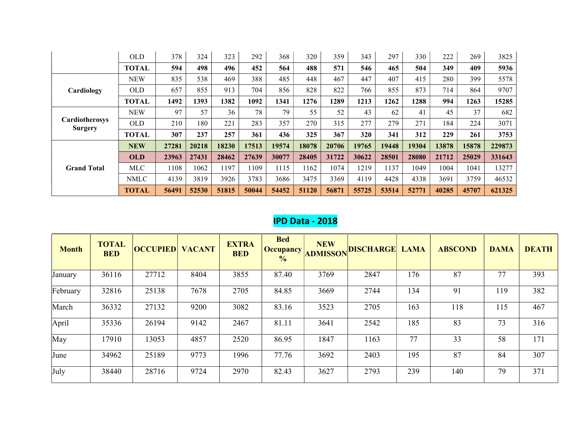|                                  | <b>OLD</b>   | 378   | 324   | 323   | 292   | 368   | 320   | 359   | 343   | 297   | 330   | 222   | 269   | 3825   |
|----------------------------------|--------------|-------|-------|-------|-------|-------|-------|-------|-------|-------|-------|-------|-------|--------|
|                                  | <b>TOTAL</b> | 594   | 498   | 496   | 452   | 564   | 488   | 571   | 546   | 465   | 504   | 349   | 409   | 5936   |
|                                  | <b>NEW</b>   | 835   | 538   | 469   | 388   | 485   | 448   | 467   | 447   | 407   | 415   | 280   | 399   | 5578   |
| Cardiology                       | <b>OLD</b>   | 657   | 855   | 913   | 704   | 856   | 828   | 822   | 766   | 855   | 873   | 714   | 864   | 9707   |
|                                  | <b>TOTAL</b> | 1492  | 1393  | 1382  | 1092  | 1341  | 1276  | 1289  | 1213  | 1262  | 1288  | 994   | 1263  | 15285  |
|                                  | <b>NEW</b>   | 97    | 57    | 36    | 78    | 79    | 55    | 52    | 43    | 62    | 41    | 45    | 37    | 682    |
| Cardiotherosys<br><b>Surgery</b> | <b>OLD</b>   | 210   | 180   | 221   | 283   | 357   | 270   | 315   | 277   | 279   | 271   | 184   | 224   | 3071   |
|                                  | <b>TOTAL</b> | 307   | 237   | 257   | 361   | 436   | 325   | 367   | 320   | 341   | 312   | 229   | 261   | 3753   |
|                                  | <b>NEW</b>   | 27281 | 20218 | 18230 | 17513 | 19574 | 18078 | 20706 | 19765 | 19448 | 19304 | 13878 | 15878 | 229873 |
| <b>Grand Total</b>               | <b>OLD</b>   | 23963 | 27431 | 28462 | 27639 | 30077 | 28405 | 31722 | 30622 | 28501 | 28080 | 21712 | 25029 | 331643 |
|                                  | <b>MLC</b>   | 1108  | 1062  | 1197  | 1109  | 1115  | 1162  | 1074  | 1219  | 1137  | 1049  | 1004  | 1041  | 13277  |
|                                  | <b>NMLC</b>  | 4139  | 3819  | 3926  | 3783  | 3686  | 3475  | 3369  | 4119  | 4428  | 4338  | 3691  | 3759  | 46532  |
|                                  | <b>TOTAL</b> | 56491 | 52530 | 51815 | 50044 | 54452 | 51120 | 56871 | 55725 | 53514 | 52771 | 40285 | 45707 | 621325 |

## IPD Data - 2018

| <b>Month</b> | <b>TOTAL</b><br><b>BED</b> | <b>OCCUPIED</b> | <b>VACANT</b> | <b>EXTRA</b><br><b>BED</b> | <b>Bed</b><br>Occupancy<br>$\frac{0}{0}$ | <b>NEW</b><br><b>ADMISSON</b> | <b>DISCHARGE</b> | <b>LAMA</b> | <b>ABSCOND</b> | <b>DAMA</b> | <b>DEATH</b> |
|--------------|----------------------------|-----------------|---------------|----------------------------|------------------------------------------|-------------------------------|------------------|-------------|----------------|-------------|--------------|
| January      | 36116                      | 27712           | 8404          | 3855                       | 87.40                                    | 3769                          | 2847             | 176         | 87             | 77          | 393          |
| February     | 32816                      | 25138           | 7678          | 2705                       | 84.85                                    | 3669                          | 2744             | 134         | 91             | 119         | 382          |
| March        | 36332                      | 27132           | 9200          | 3082                       | 83.16                                    | 3523                          | 2705             | 163         | 118            | 115         | 467          |
| April        | 35336                      | 26194           | 9142          | 2467                       | 81.11                                    | 3641                          | 2542             | 185         | 83             | 73          | 316          |
| May          | 17910                      | 13053           | 4857          | 2520                       | 86.95                                    | 1847                          | 1163             | 77          | 33             | 58          | 171          |
| June         | 34962                      | 25189           | 9773          | 1996                       | 77.76                                    | 3692                          | 2403             | 195         | 87             | 84          | 307          |
| July         | 38440                      | 28716           | 9724          | 2970                       | 82.43                                    | 3627                          | 2793             | 239         | 140            | 79          | 371          |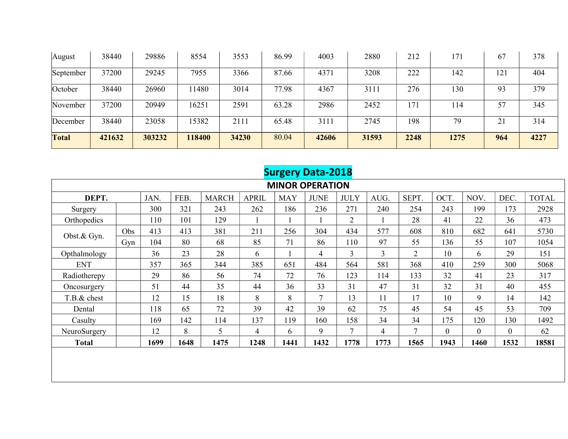| August       | 38440  | 29886  | 8554   | 3553  | 86.99 | 4003  | 2880  | 212  | 171  | 67              | 378  |
|--------------|--------|--------|--------|-------|-------|-------|-------|------|------|-----------------|------|
| September    | 37200  | 29245  | 7955   | 3366  | 87.66 | 4371  | 3208  | 222  | 142  | 12 <sup>2</sup> | 404  |
| October      | 38440  | 26960  | 1480   | 3014  | 77.98 | 4367  | 3111  | 276  | 130  | 93              | 379  |
| November     | 37200  | 20949  | 16251  | 2591  | 63.28 | 2986  | 2452  | 171  | 114  | 57              | 345  |
| December     | 38440  | 23058  | 15382  | 211i  | 65.48 | 3111  | 2745  | 198  | 79   |                 | 314  |
| <b>Total</b> | 421632 | 303232 | 118400 | 34230 | 80.04 | 42606 | 31593 | 2248 | 1275 | 964             | 4227 |

|                        | <b>Surgery Data-2018</b> |      |      |              |              |            |             |                |      |                |                |              |              |              |
|------------------------|--------------------------|------|------|--------------|--------------|------------|-------------|----------------|------|----------------|----------------|--------------|--------------|--------------|
| <b>MINOR OPERATION</b> |                          |      |      |              |              |            |             |                |      |                |                |              |              |              |
| DEPT.                  |                          | JAN. | FEB. | <b>MARCH</b> | <b>APRIL</b> | <b>MAY</b> | <b>JUNE</b> | <b>JULY</b>    | AUG. | SEPT.          | OCT.           | NOV.         | DEC.         | <b>TOTAL</b> |
| Surgery                |                          | 300  | 321  | 243          | 262          | 186        | 236         | 271            | 240  | 254            | 243            | 199          | 173          | 2928         |
| Orthopedics            |                          | 110  | 101  | 129          |              |            |             | $\overline{2}$ |      | 28             | 41             | 22           | 36           | 473          |
| Obst.& Gyn.            | Obs                      | 413  | 413  | 381          | 211          | 256        | 304         | 434            | 577  | 608            | 810            | 682          | 641          | 5730         |
|                        | Gyn                      | 104  | 80   | 68           | 85           | 71         | 86          | 110            | 97   | 55             | 136            | 55           | 107          | 1054         |
| Opthalmology           |                          | 36   | 23   | 28           | 6            |            | 4           | 3              | 3    | $\overline{2}$ | 10             | 6            | 29           | 151          |
| <b>ENT</b>             |                          | 357  | 365  | 344          | 385          | 651        | 484         | 564            | 581  | 368            | 410            | 259          | 300          | 5068         |
| Radiotherepy           |                          | 29   | 86   | 56           | 74           | 72         | 76          | 123            | 114  | 133            | 32             | 41           | 23           | 317          |
| Oncosurgery            |                          | 51   | 44   | 35           | 44           | 36         | 33          | 31             | 47   | 31             | 32             | 31           | 40           | 455          |
| T.B.& chest            |                          | 12   | 15   | 18           | 8            | 8          | 7           | 13             | 11   | 17             | 10             | 9            | 14           | 142          |
| Dental                 |                          | 118  | 65   | 72           | 39           | 42         | 39          | 62             | 75   | 45             | 54             | 45           | 53           | 709          |
| Casulty                |                          | 169  | 142  | 114          | 137          | 119        | 160         | 158            | 34   | 34             | 175            | 120          | 130          | 1492         |
| NeuroSurgery           |                          | 12   | 8    | 5            | 4            | 6          | 9           | 7              | 4    | $\tau$         | $\overline{0}$ | $\mathbf{0}$ | $\mathbf{0}$ | 62           |
| <b>Total</b>           |                          | 1699 | 1648 | 1475         | 1248         | 1441       | 1432        | 1778           | 1773 | 1565           | 1943           | 1460         | 1532         | 18581        |
|                        |                          |      |      |              |              |            |             |                |      |                |                |              |              |              |
|                        |                          |      |      |              |              |            |             |                |      |                |                |              |              |              |